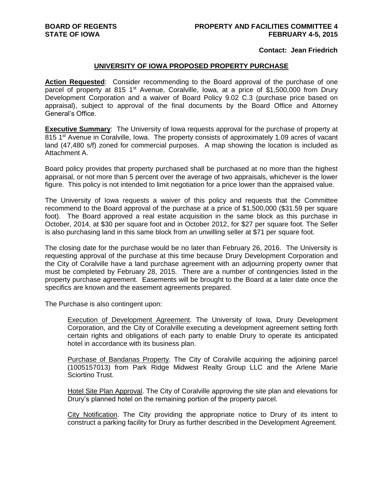## **Contact: Jean Friedrich**

## **UNIVERSITY OF IOWA PROPOSED PROPERTY PURCHASE**

**Action Requested**: Consider recommending to the Board approval of the purchase of one parcel of property at 815 1<sup>st</sup> Avenue, Coralville, Iowa, at a price of \$1,500,000 from Drury Development Corporation and a waiver of Board Policy 9.02 C.3 (purchase price based on appraisal), subject to approval of the final documents by the Board Office and Attorney General's Office.

**Executive Summary:** The University of Iowa requests approval for the purchase of property at 815 1<sup>st</sup> Avenue in Coralville, Iowa. The property consists of approximately 1.09 acres of vacant land (47,480 s/f) zoned for commercial purposes. A map showing the location is included as Attachment A.

Board policy provides that property purchased shall be purchased at no more than the highest appraisal, or not more than 5 percent over the average of two appraisals, whichever is the lower figure. This policy is not intended to limit negotiation for a price lower than the appraised value.

The University of Iowa requests a waiver of this policy and requests that the Committee recommend to the Board approval of the purchase at a price of \$1,500,000 (\$31.59 per square foot). The Board approved a real estate acquisition in the same block as this purchase in October, 2014, at \$30 per square foot and in October 2012, for \$27 per square foot. The Seller is also purchasing land in this same block from an unwilling seller at \$71 per square foot.

The closing date for the purchase would be no later than February 26, 2016. The University is requesting approval of the purchase at this time because Drury Development Corporation and the City of Coralville have a land purchase agreement with an adjourning property owner that must be completed by February 28, 2015. There are a number of contingencies listed in the property purchase agreement. Easements will be brought to the Board at a later date once the specifics are known and the easement agreements prepared.

The Purchase is also contingent upon:

Execution of Development Agreement. The University of Iowa, Drury Development Corporation, and the City of Coralville executing a development agreement setting forth certain rights and obligations of each party to enable Drury to operate its anticipated hotel in accordance with its business plan.

Purchase of Bandanas Property. The City of Coralville acquiring the adjoining parcel (1005157013) from Park Ridge Midwest Realty Group LLC and the Arlene Marie Sciortino Trust.

Hotel Site Plan Approval. The City of Coralville approving the site plan and elevations for Drury's planned hotel on the remaining portion of the property parcel.

City Notification. The City providing the appropriate notice to Drury of its intent to construct a parking facility for Drury as further described in the Development Agreement.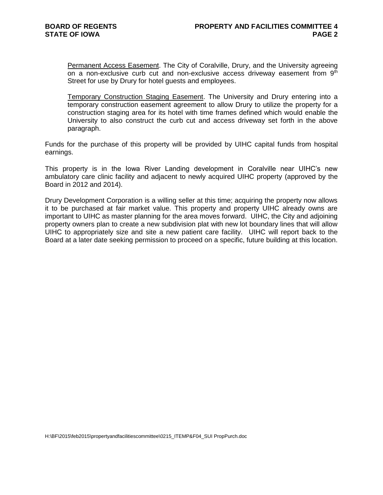Permanent Access Easement. The City of Coralville, Drury, and the University agreeing on a non-exclusive curb cut and non-exclusive access driveway easement from  $9<sup>th</sup>$ Street for use by Drury for hotel guests and employees.

Temporary Construction Staging Easement. The University and Drury entering into a temporary construction easement agreement to allow Drury to utilize the property for a construction staging area for its hotel with time frames defined which would enable the University to also construct the curb cut and access driveway set forth in the above paragraph.

Funds for the purchase of this property will be provided by UIHC capital funds from hospital earnings.

This property is in the Iowa River Landing development in Coralville near UIHC's new ambulatory care clinic facility and adjacent to newly acquired UIHC property (approved by the Board in 2012 and 2014).

Drury Development Corporation is a willing seller at this time; acquiring the property now allows it to be purchased at fair market value. This property and property UIHC already owns are important to UIHC as master planning for the area moves forward. UIHC, the City and adjoining property owners plan to create a new subdivision plat with new lot boundary lines that will allow UIHC to appropriately size and site a new patient care facility. UIHC will report back to the Board at a later date seeking permission to proceed on a specific, future building at this location.